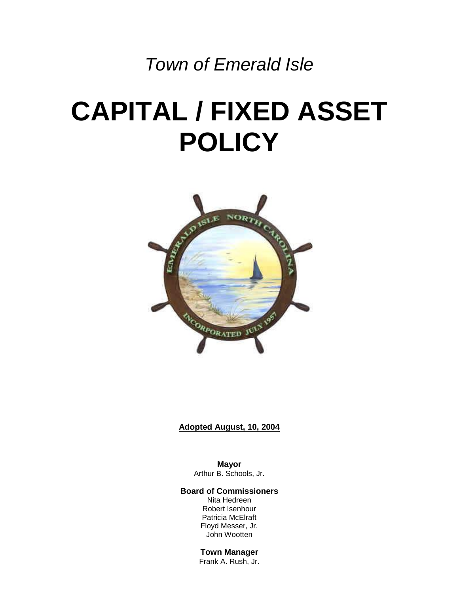## *Town of Emerald Isle*

# **CAPITAL / FIXED ASSET POLICY**



#### **Adopted August, 10, 2004**

**Mayor** Arthur B. Schools, Jr.

#### **Board of Commissioners**

Nita Hedreen Robert Isenhour Patricia McElraft Floyd Messer, Jr. John Wootten

#### **Town Manager**

Frank A. Rush, Jr.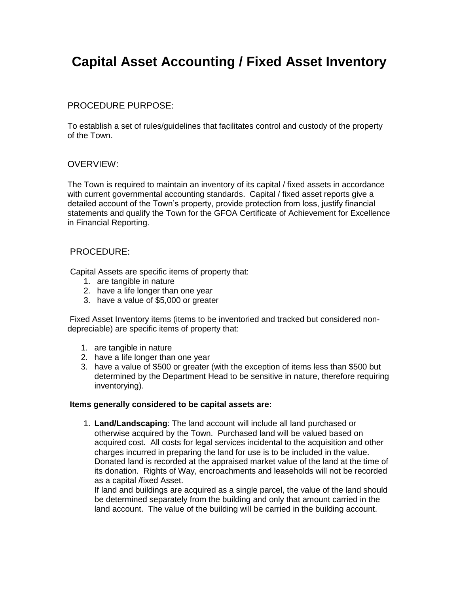### **Capital Asset Accounting / Fixed Asset Inventory**

#### PROCEDURE PURPOSE:

To establish a set of rules/guidelines that facilitates control and custody of the property of the Town.

#### OVERVIEW:

The Town is required to maintain an inventory of its capital / fixed assets in accordance with current governmental accounting standards. Capital / fixed asset reports give a detailed account of the Town's property, provide protection from loss, justify financial statements and qualify the Town for the GFOA Certificate of Achievement for Excellence in Financial Reporting.

#### PROCEDURE:

Capital Assets are specific items of property that:

- 1. are tangible in nature
- 2. have a life longer than one year
- 3. have a value of \$5,000 or greater

Fixed Asset Inventory items (items to be inventoried and tracked but considered nondepreciable) are specific items of property that:

- 1. are tangible in nature
- 2. have a life longer than one year
- 3. have a value of \$500 or greater (with the exception of items less than \$500 but determined by the Department Head to be sensitive in nature, therefore requiring inventorying).

#### **Items generally considered to be capital assets are:**

1. **Land/Landscaping**: The land account will include all land purchased or otherwise acquired by the Town. Purchased land will be valued based on acquired cost. All costs for legal services incidental to the acquisition and other charges incurred in preparing the land for use is to be included in the value. Donated land is recorded at the appraised market value of the land at the time of its donation. Rights of Way, encroachments and leaseholds will not be recorded as a capital /fixed Asset.

If land and buildings are acquired as a single parcel, the value of the land should be determined separately from the building and only that amount carried in the land account. The value of the building will be carried in the building account.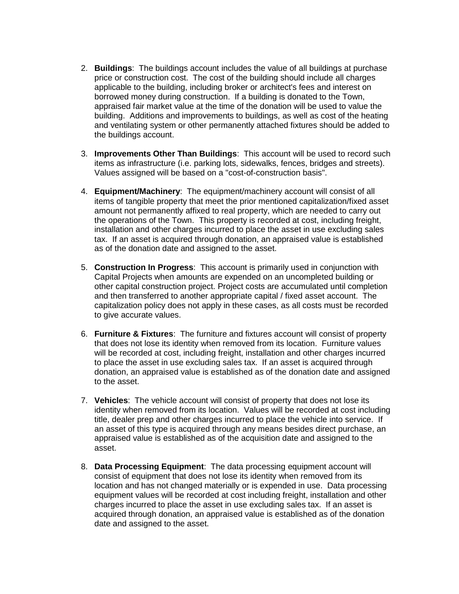- 2. **Buildings**: The buildings account includes the value of all buildings at purchase price or construction cost. The cost of the building should include all charges applicable to the building, including broker or architect's fees and interest on borrowed money during construction. If a building is donated to the Town, appraised fair market value at the time of the donation will be used to value the building. Additions and improvements to buildings, as well as cost of the heating and ventilating system or other permanently attached fixtures should be added to the buildings account.
- 3. **Improvements Other Than Buildings**: This account will be used to record such items as infrastructure (i.e. parking lots, sidewalks, fences, bridges and streets). Values assigned will be based on a "cost-of-construction basis".
- 4. **Equipment/Machinery**: The equipment/machinery account will consist of all items of tangible property that meet the prior mentioned capitalization/fixed asset amount not permanently affixed to real property, which are needed to carry out the operations of the Town. This property is recorded at cost, including freight, installation and other charges incurred to place the asset in use excluding sales tax. If an asset is acquired through donation, an appraised value is established as of the donation date and assigned to the asset.
- 5. **Construction In Progress**: This account is primarily used in conjunction with Capital Projects when amounts are expended on an uncompleted building or other capital construction project. Project costs are accumulated until completion and then transferred to another appropriate capital / fixed asset account. The capitalization policy does not apply in these cases, as all costs must be recorded to give accurate values.
- 6. **Furniture & Fixtures**: The furniture and fixtures account will consist of property that does not lose its identity when removed from its location. Furniture values will be recorded at cost, including freight, installation and other charges incurred to place the asset in use excluding sales tax. If an asset is acquired through donation, an appraised value is established as of the donation date and assigned to the asset.
- 7. **Vehicles**: The vehicle account will consist of property that does not lose its identity when removed from its location. Values will be recorded at cost including title, dealer prep and other charges incurred to place the vehicle into service. If an asset of this type is acquired through any means besides direct purchase, an appraised value is established as of the acquisition date and assigned to the asset.
- 8. **Data Processing Equipment**: The data processing equipment account will consist of equipment that does not lose its identity when removed from its location and has not changed materially or is expended in use. Data processing equipment values will be recorded at cost including freight, installation and other charges incurred to place the asset in use excluding sales tax. If an asset is acquired through donation, an appraised value is established as of the donation date and assigned to the asset.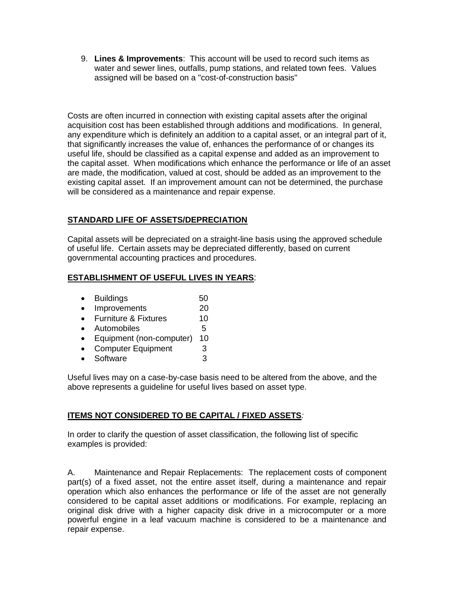9. **Lines & Improvements**: This account will be used to record such items as water and sewer lines, outfalls, pump stations, and related town fees. Values assigned will be based on a "cost-of-construction basis"

Costs are often incurred in connection with existing capital assets after the original acquisition cost has been established through additions and modifications. In general, any expenditure which is definitely an addition to a capital asset, or an integral part of it, that significantly increases the value of, enhances the performance of or changes its useful life, should be classified as a capital expense and added as an improvement to the capital asset. When modifications which enhance the performance or life of an asset are made, the modification, valued at cost, should be added as an improvement to the existing capital asset. If an improvement amount can not be determined, the purchase will be considered as a maintenance and repair expense.

#### **STANDARD LIFE OF ASSETS/DEPRECIATION**

Capital assets will be depreciated on a straight-line basis using the approved schedule of useful life. Certain assets may be depreciated differently, based on current governmental accounting practices and procedures.

#### **ESTABLISHMENT OF USEFUL LIVES IN YEARS**:

- Buildings 50
- Improvements 20
- Furniture & Fixtures 10
- Automobiles 5
- Equipment (non-computer) 10
- Computer Equipment 3
- $\bullet$  Software  $\qquad \qquad$  3

Useful lives may on a case-by-case basis need to be altered from the above, and the above represents a guideline for useful lives based on asset type.

#### **ITEMS NOT CONSIDERED TO BE CAPITAL / FIXED ASSETS***:*

In order to clarify the question of asset classification, the following list of specific examples is provided:

A. Maintenance and Repair Replacements: The replacement costs of component part(s) of a fixed asset, not the entire asset itself, during a maintenance and repair operation which also enhances the performance or life of the asset are not generally considered to be capital asset additions or modifications. For example, replacing an original disk drive with a higher capacity disk drive in a microcomputer or a more powerful engine in a leaf vacuum machine is considered to be a maintenance and repair expense.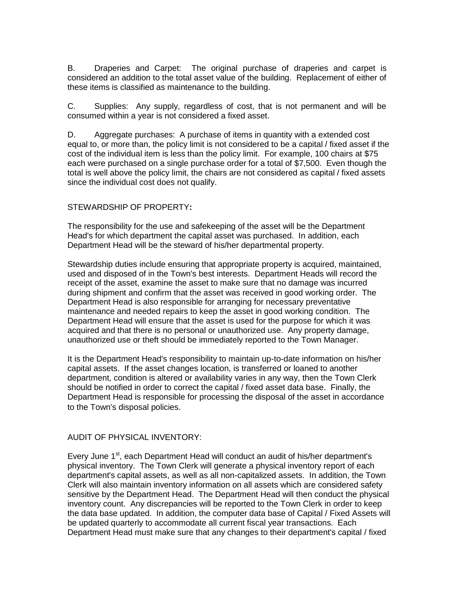B. Draperies and Carpet: The original purchase of draperies and carpet is considered an addition to the total asset value of the building. Replacement of either of these items is classified as maintenance to the building.

C. Supplies: Any supply, regardless of cost, that is not permanent and will be consumed within a year is not considered a fixed asset.

D. Aggregate purchases: A purchase of items in quantity with a extended cost equal to, or more than, the policy limit is not considered to be a capital / fixed asset if the cost of the individual item is less than the policy limit. For example, 100 chairs at \$75 each were purchased on a single purchase order for a total of \$7,500. Even though the total is well above the policy limit, the chairs are not considered as capital / fixed assets since the individual cost does not qualify.

#### STEWARDSHIP OF PROPERTY**:**

The responsibility for the use and safekeeping of the asset will be the Department Head's for which department the capital asset was purchased. In addition, each Department Head will be the steward of his/her departmental property.

Stewardship duties include ensuring that appropriate property is acquired, maintained, used and disposed of in the Town's best interests. Department Heads will record the receipt of the asset, examine the asset to make sure that no damage was incurred during shipment and confirm that the asset was received in good working order. The Department Head is also responsible for arranging for necessary preventative maintenance and needed repairs to keep the asset in good working condition. The Department Head will ensure that the asset is used for the purpose for which it was acquired and that there is no personal or unauthorized use. Any property damage, unauthorized use or theft should be immediately reported to the Town Manager.

It is the Department Head's responsibility to maintain up-to-date information on his/her capital assets. If the asset changes location, is transferred or loaned to another department, condition is altered or availability varies in any way, then the Town Clerk should be notified in order to correct the capital / fixed asset data base. Finally, the Department Head is responsible for processing the disposal of the asset in accordance to the Town's disposal policies.

#### AUDIT OF PHYSICAL INVENTORY:

Every June 1<sup>st</sup>, each Department Head will conduct an audit of his/her department's physical inventory. The Town Clerk will generate a physical inventory report of each department's capital assets, as well as all non-capitalized assets. In addition, the Town Clerk will also maintain inventory information on all assets which are considered safety sensitive by the Department Head. The Department Head will then conduct the physical inventory count. Any discrepancies will be reported to the Town Clerk in order to keep the data base updated. In addition, the computer data base of Capital / Fixed Assets will be updated quarterly to accommodate all current fiscal year transactions. Each Department Head must make sure that any changes to their department's capital / fixed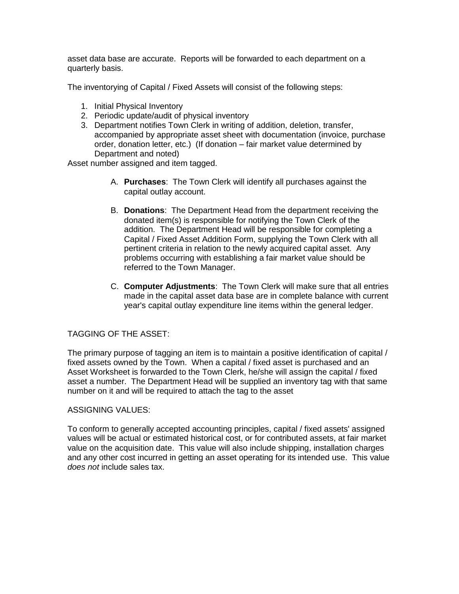asset data base are accurate. Reports will be forwarded to each department on a quarterly basis.

The inventorying of Capital / Fixed Assets will consist of the following steps:

- 1. Initial Physical Inventory
- 2. Periodic update/audit of physical inventory
- 3. Department notifies Town Clerk in writing of addition, deletion, transfer, accompanied by appropriate asset sheet with documentation (invoice, purchase order, donation letter, etc.) (If donation – fair market value determined by Department and noted)

Asset number assigned and item tagged.

- A. **Purchases**: The Town Clerk will identify all purchases against the capital outlay account.
- B. **Donations**: The Department Head from the department receiving the donated item(s) is responsible for notifying the Town Clerk of the addition. The Department Head will be responsible for completing a Capital / Fixed Asset Addition Form, supplying the Town Clerk with all pertinent criteria in relation to the newly acquired capital asset. Any problems occurring with establishing a fair market value should be referred to the Town Manager.
- C. **Computer Adjustments**: The Town Clerk will make sure that all entries made in the capital asset data base are in complete balance with current year's capital outlay expenditure line items within the general ledger.

#### TAGGING OF THE ASSET:

The primary purpose of tagging an item is to maintain a positive identification of capital / fixed assets owned by the Town. When a capital / fixed asset is purchased and an Asset Worksheet is forwarded to the Town Clerk, he/she will assign the capital / fixed asset a number. The Department Head will be supplied an inventory tag with that same number on it and will be required to attach the tag to the asset

#### ASSIGNING VALUES:

To conform to generally accepted accounting principles, capital / fixed assets' assigned values will be actual or estimated historical cost, or for contributed assets, at fair market value on the acquisition date. This value will also include shipping, installation charges and any other cost incurred in getting an asset operating for its intended use. This value *does not* include sales tax.